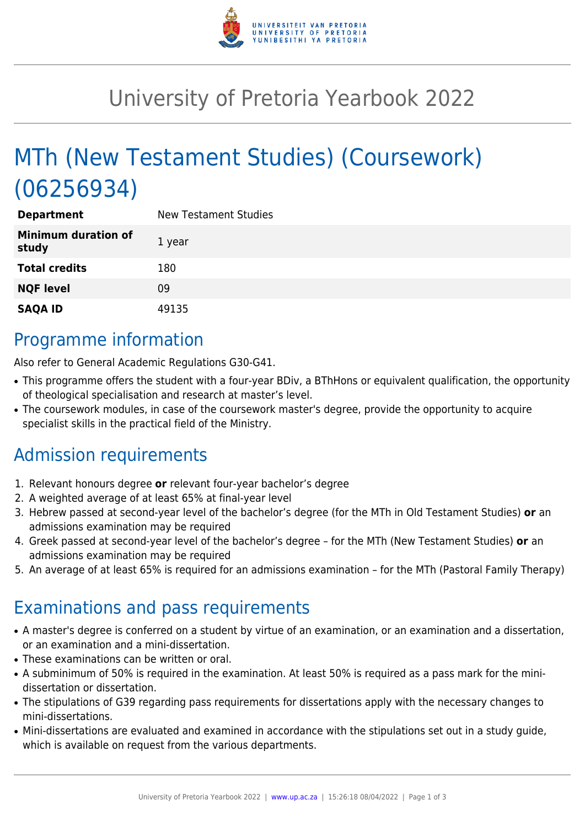

## University of Pretoria Yearbook 2022

# MTh (New Testament Studies) (Coursework) (06256934)

| <b>Department</b>                   | <b>New Testament Studies</b> |
|-------------------------------------|------------------------------|
| <b>Minimum duration of</b><br>study | 1 year                       |
| <b>Total credits</b>                | 180                          |
| <b>NQF level</b>                    | 09                           |
| <b>SAQA ID</b>                      | 49135                        |

### Programme information

Also refer to General Academic Regulations G30-G41.

- This programme offers the student with a four-year BDiv, a BThHons or equivalent qualification, the opportunity of theological specialisation and research at master's level.
- The coursework modules, in case of the coursework master's degree, provide the opportunity to acquire specialist skills in the practical field of the Ministry.

### Admission requirements

- 1. Relevant honours degree **or** relevant four-year bachelor's degree
- 2. A weighted average of at least 65% at final-year level
- 3. Hebrew passed at second-year level of the bachelor's degree (for the MTh in Old Testament Studies) **or** an admissions examination may be required
- 4. Greek passed at second-year level of the bachelor's degree for the MTh (New Testament Studies) **or** an admissions examination may be required
- 5. An average of at least 65% is required for an admissions examination for the MTh (Pastoral Family Therapy)

### Examinations and pass requirements

- A master's degree is conferred on a student by virtue of an examination, or an examination and a dissertation, or an examination and a mini-dissertation.
- These examinations can be written or oral.
- A subminimum of 50% is required in the examination. At least 50% is required as a pass mark for the minidissertation or dissertation.
- The stipulations of G39 regarding pass requirements for dissertations apply with the necessary changes to mini-dissertations.
- Mini-dissertations are evaluated and examined in accordance with the stipulations set out in a study guide, which is available on request from the various departments.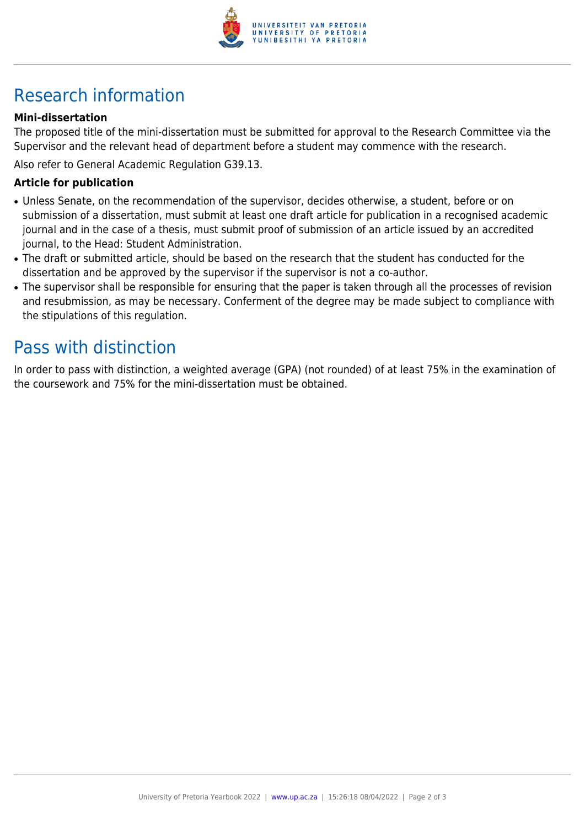

## Research information

#### **Mini-dissertation**

The proposed title of the mini-dissertation must be submitted for approval to the Research Committee via the Supervisor and the relevant head of department before a student may commence with the research.

Also refer to General Academic Regulation G39.13.

#### **Article for publication**

- Unless Senate, on the recommendation of the supervisor, decides otherwise, a student, before or on submission of a dissertation, must submit at least one draft article for publication in a recognised academic journal and in the case of a thesis, must submit proof of submission of an article issued by an accredited journal, to the Head: Student Administration.
- The draft or submitted article, should be based on the research that the student has conducted for the dissertation and be approved by the supervisor if the supervisor is not a co-author.
- The supervisor shall be responsible for ensuring that the paper is taken through all the processes of revision and resubmission, as may be necessary. Conferment of the degree may be made subject to compliance with the stipulations of this regulation.

### Pass with distinction

In order to pass with distinction, a weighted average (GPA) (not rounded) of at least 75% in the examination of the coursework and 75% for the mini-dissertation must be obtained.